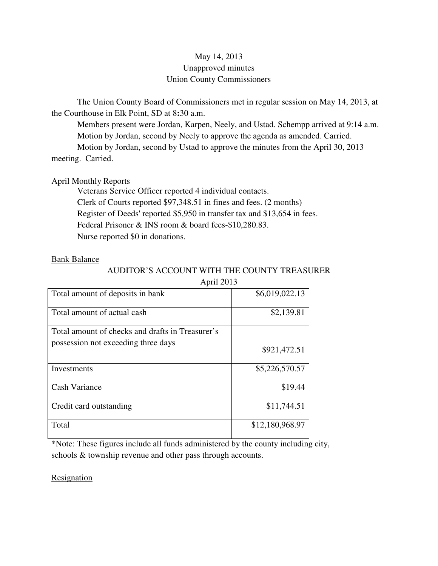# May 14, 2013 Unapproved minutes Union County Commissioners

The Union County Board of Commissioners met in regular session on May 14, 2013, at the Courthouse in Elk Point, SD at 8**:**30 a.m.

 Members present were Jordan, Karpen, Neely, and Ustad. Schempp arrived at 9:14 a.m. Motion by Jordan, second by Neely to approve the agenda as amended. Carried. Motion by Jordan, second by Ustad to approve the minutes from the April 30, 2013 meeting. Carried.

April Monthly Reports Veterans Service Officer reported 4 individual contacts.

 Clerk of Courts reported \$97,348.51 in fines and fees. (2 months) Register of Deeds' reported \$5,950 in transfer tax and \$13,654 in fees. Federal Prisoner & INS room & board fees-\$10,280.83. Nurse reported \$0 in donations.

# Bank Balance

# AUDITOR'S ACCOUNT WITH THE COUNTY TREASURER April  $2013$

| $\mu$ phil $\omega$                              |                 |
|--------------------------------------------------|-----------------|
| Total amount of deposits in bank                 | \$6,019,022.13  |
| Total amount of actual cash                      | \$2,139.81      |
| Total amount of checks and drafts in Treasurer's |                 |
| possession not exceeding three days              | \$921,472.51    |
| Investments                                      | \$5,226,570.57  |
| Cash Variance                                    | \$19.44         |
| Credit card outstanding                          | \$11,744.51     |
| Total                                            | \$12,180,968.97 |

\*Note: These figures include all funds administered by the county including city, schools & township revenue and other pass through accounts.

**Resignation**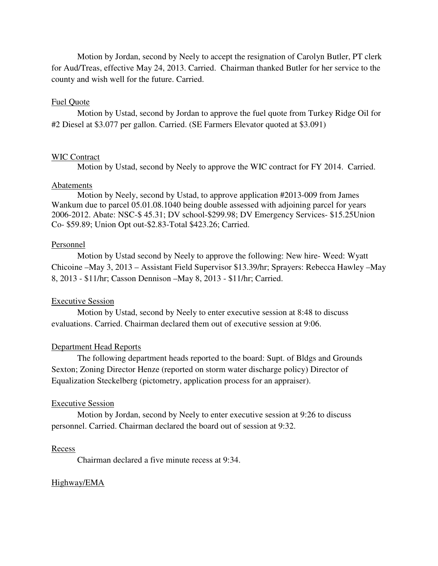Motion by Jordan, second by Neely to accept the resignation of Carolyn Butler, PT clerk for Aud/Treas, effective May 24, 2013. Carried. Chairman thanked Butler for her service to the county and wish well for the future. Carried.

# Fuel Quote

 Motion by Ustad, second by Jordan to approve the fuel quote from Turkey Ridge Oil for #2 Diesel at \$3.077 per gallon. Carried. (SE Farmers Elevator quoted at \$3.091)

# WIC Contract

Motion by Ustad, second by Neely to approve the WIC contract for FY 2014. Carried.

# Abatements

 Motion by Neely, second by Ustad, to approve application #2013-009 from James Wankum due to parcel 05.01.08.1040 being double assessed with adjoining parcel for years 2006-2012. Abate: NSC-\$ 45.31; DV school-\$299.98; DV Emergency Services- \$15.25Union Co- \$59.89; Union Opt out-\$2.83-Total \$423.26; Carried.

### Personnel

 Motion by Ustad second by Neely to approve the following: New hire- Weed: Wyatt Chicoine –May 3, 2013 – Assistant Field Supervisor \$13.39/hr; Sprayers: Rebecca Hawley –May 8, 2013 - \$11/hr; Casson Dennison –May 8, 2013 - \$11/hr; Carried.

### Executive Session

 Motion by Ustad, second by Neely to enter executive session at 8:48 to discuss evaluations. Carried. Chairman declared them out of executive session at 9:06.

### Department Head Reports

 The following department heads reported to the board: Supt. of Bldgs and Grounds Sexton; Zoning Director Henze (reported on storm water discharge policy) Director of Equalization Steckelberg (pictometry, application process for an appraiser).

#### Executive Session

 Motion by Jordan, second by Neely to enter executive session at 9:26 to discuss personnel. Carried. Chairman declared the board out of session at 9:32.

### Recess

Chairman declared a five minute recess at 9:34.

# Highway/EMA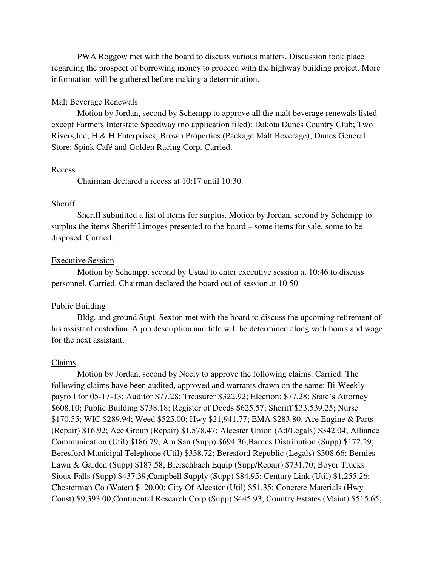PWA Roggow met with the board to discuss various matters. Discussion took place regarding the prospect of borrowing money to proceed with the highway building project. More information will be gathered before making a determination.

# Malt Beverage Renewals

 Motion by Jordan, second by Schempp to approve all the malt beverage renewals listed except Farmers Interstate Speedway (no application filed): Dakota Dunes Country Club; Two Rivers,Inc; H & H Enterprises; Brown Properties (Package Malt Beverage); Dunes General Store; Spink Café and Golden Racing Corp. Carried.

#### **Recess**

Chairman declared a recess at 10:17 until 10:30.

# Sheriff

 Sheriff submitted a list of items for surplus. Motion by Jordan, second by Schempp to surplus the items Sheriff Limoges presented to the board – some items for sale, some to be disposed. Carried.

### Executive Session

 Motion by Schempp, second by Ustad to enter executive session at 10:46 to discuss personnel. Carried. Chairman declared the board out of session at 10:50.

# Public Building

 Bldg. and ground Supt. Sexton met with the board to discuss the upcoming retirement of his assistant custodian. A job description and title will be determined along with hours and wage for the next assistant.

### Claims

 Motion by Jordan, second by Neely to approve the following claims. Carried. The following claims have been audited, approved and warrants drawn on the same: Bi-Weekly payroll for 05-17-13: Auditor \$77.28; Treasurer \$322.92; Election: \$77.28; State's Attorney \$608.10; Public Building \$738.18; Register of Deeds \$625.57; Sheriff \$33,539.25; Nurse \$170.55; WIC \$289.94; Weed \$525.00; Hwy \$21,941.77; EMA \$283.80. Ace Engine & Parts (Repair) \$16.92; Ace Group (Repair) \$1,578.47; Alcester Union (Ad/Legals) \$342.04; Alliance Communication (Util) \$186.79; Am San (Supp) \$694.36;Barnes Distribution (Supp) \$172.29; Beresford Municipal Telephone (Util) \$338.72; Beresford Republic (Legals) \$308.66; Bernies Lawn & Garden (Supp) \$187.58; Bierschbach Equip (Supp/Repair) \$731.70; Boyer Trucks Sioux Falls (Supp) \$437.39;Campbell Supply (Supp) \$84.95; Century Link (Util) \$1,255.26; Chesterman Co (Water) \$120.00; City Of Alcester (Util) \$51.35; Concrete Materials (Hwy Const) \$9,393.00;Continental Research Corp (Supp) \$445.93; Country Estates (Maint) \$515.65;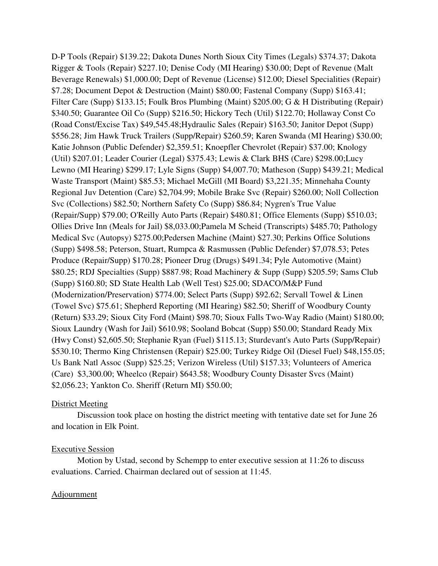D-P Tools (Repair) \$139.22; Dakota Dunes North Sioux City Times (Legals) \$374.37; Dakota Rigger & Tools (Repair) \$227.10; Denise Cody (MI Hearing) \$30.00; Dept of Revenue (Malt Beverage Renewals) \$1,000.00; Dept of Revenue (License) \$12.00; Diesel Specialities (Repair) \$7.28; Document Depot & Destruction (Maint) \$80.00; Fastenal Company (Supp) \$163.41; Filter Care (Supp) \$133.15; Foulk Bros Plumbing (Maint) \$205.00; G & H Distributing (Repair) \$340.50; Guarantee Oil Co (Supp) \$216.50; Hickory Tech (Util) \$122.70; Hollaway Const Co (Road Const/Excise Tax) \$49,545.48;Hydraulic Sales (Repair) \$163.50; Janitor Depot (Supp) \$556.28; Jim Hawk Truck Trailers (Supp/Repair) \$260.59; Karen Swanda (MI Hearing) \$30.00; Katie Johnson (Public Defender) \$2,359.51; Knoepfler Chevrolet (Repair) \$37.00; Knology (Util) \$207.01; Leader Courier (Legal) \$375.43; Lewis & Clark BHS (Care) \$298.00;Lucy Lewno (MI Hearing) \$299.17; Lyle Signs (Supp) \$4,007.70; Matheson (Supp) \$439.21; Medical Waste Transport (Maint) \$85.53; Michael McGill (MI Board) \$3,221.35; Minnehaha County Regional Juv Detention (Care) \$2,704.99; Mobile Brake Svc (Repair) \$260.00; Noll Collection Svc (Collections) \$82.50; Northern Safety Co (Supp) \$86.84; Nygren's True Value (Repair/Supp) \$79.00; O'Reilly Auto Parts (Repair) \$480.81; Office Elements (Supp) \$510.03; Ollies Drive Inn (Meals for Jail) \$8,033.00;Pamela M Scheid (Transcripts) \$485.70; Pathology Medical Svc (Autopsy) \$275.00;Pedersen Machine (Maint) \$27.30; Perkins Office Solutions (Supp) \$498.58; Peterson, Stuart, Rumpca & Rasmussen (Public Defender) \$7,078.53; Petes Produce (Repair/Supp) \$170.28; Pioneer Drug (Drugs) \$491.34; Pyle Automotive (Maint) \$80.25; RDJ Specialties (Supp) \$887.98; Road Machinery & Supp (Supp) \$205.59; Sams Club (Supp) \$160.80; SD State Health Lab (Well Test) \$25.00; SDACO/M&P Fund (Modernization/Preservation) \$774.00; Select Parts (Supp) \$92.62; Servall Towel & Linen (Towel Svc) \$75.61; Shepherd Reporting (MI Hearing) \$82.50; Sheriff of Woodbury County (Return) \$33.29; Sioux City Ford (Maint) \$98.70; Sioux Falls Two-Way Radio (Maint) \$180.00; Sioux Laundry (Wash for Jail) \$610.98; Sooland Bobcat (Supp) \$50.00; Standard Ready Mix (Hwy Const) \$2,605.50; Stephanie Ryan (Fuel) \$115.13; Sturdevant's Auto Parts (Supp/Repair) \$530.10; Thermo King Christensen (Repair) \$25.00; Turkey Ridge Oil (Diesel Fuel) \$48,155.05; Us Bank Natl Assoc (Supp) \$25.25; Verizon Wireless (Util) \$157.33; Volunteers of America (Care) \$3,300.00; Wheelco (Repair) \$643.58; Woodbury County Disaster Svcs (Maint) \$2,056.23; Yankton Co. Sheriff (Return MI) \$50.00;

# District Meeting

 Discussion took place on hosting the district meeting with tentative date set for June 26 and location in Elk Point.

# Executive Session

 Motion by Ustad, second by Schempp to enter executive session at 11:26 to discuss evaluations. Carried. Chairman declared out of session at 11:45.

# **Adjournment**